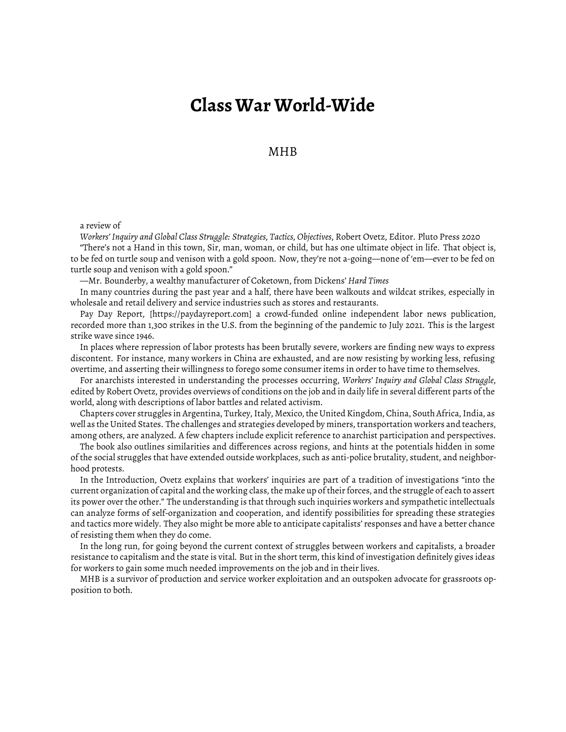## **Class War World-Wide**

MHB

a review of

*Workers' Inquiry and Global Class Struggle: Strategies, Tactics, Objectives*, Robert Ovetz, Editor. Pluto Press 2020 "There's not a Hand in this town, Sir, man, woman, or child, but has one ultimate object in life. That object is, to be fed on turtle soup and venison with a gold spoon. Now, they're not a-going—none of 'em—ever to be fed on turtle soup and venison with a gold spoon."

—Mr. Bounderby, a wealthy manufacturer of Coketown, from Dickens' *Hard Times*

In many countries during the past year and a half, there have been walkouts and wildcat strikes, especially in wholesale and retail delivery and service industries such as stores and restaurants.

Pay Day Report, [https://paydayreport.com] a crowd-funded online independent labor news publication, recorded more than 1,300 strikes in the U.S. from the beginning of the pandemic to July 2021. This is the largest strike wave since 1946.

In places where repression of labor protests has been brutally severe, workers are finding new ways to express discontent. For instance, many workers in China are exhausted, and are now resisting by working less, refusing overtime, and asserting their willingness to forego some consumer items in order to have time to themselves.

For anarchists interested in understanding the processes occurring, *Workers' Inquiry and Global Class Struggle*, edited by Robert Ovetz, provides overviews of conditions on the job and in daily life in several different parts of the world, along with descriptions of labor battles and related activism.

Chapters cover struggles in Argentina, Turkey, Italy, Mexico, the United Kingdom, China, South Africa, India, as well as the United States. The challenges and strategies developed by miners, transportation workers and teachers, among others, are analyzed. A few chapters include explicit reference to anarchist participation and perspectives.

The book also outlines similarities and differences across regions, and hints at the potentials hidden in some of the social struggles that have extended outside workplaces, such as anti-police brutality, student, and neighborhood protests.

In the Introduction, Ovetz explains that workers' inquiries are part of a tradition of investigations "into the current organization of capital and the working class, the make up of their forces, and the struggle of each to assert its power over the other." The understanding is that through such inquiries workers and sympathetic intellectuals can analyze forms of self-organization and cooperation, and identify possibilities for spreading these strategies and tactics more widely. They also might be more able to anticipate capitalists' responses and have a better chance of resisting them when they do come.

In the long run, for going beyond the current context of struggles between workers and capitalists, a broader resistance to capitalism and the state is vital. But in the short term, this kind of investigation definitely gives ideas for workers to gain some much needed improvements on the job and in their lives.

MHB is a survivor of production and service worker exploitation and an outspoken advocate for grassroots opposition to both.